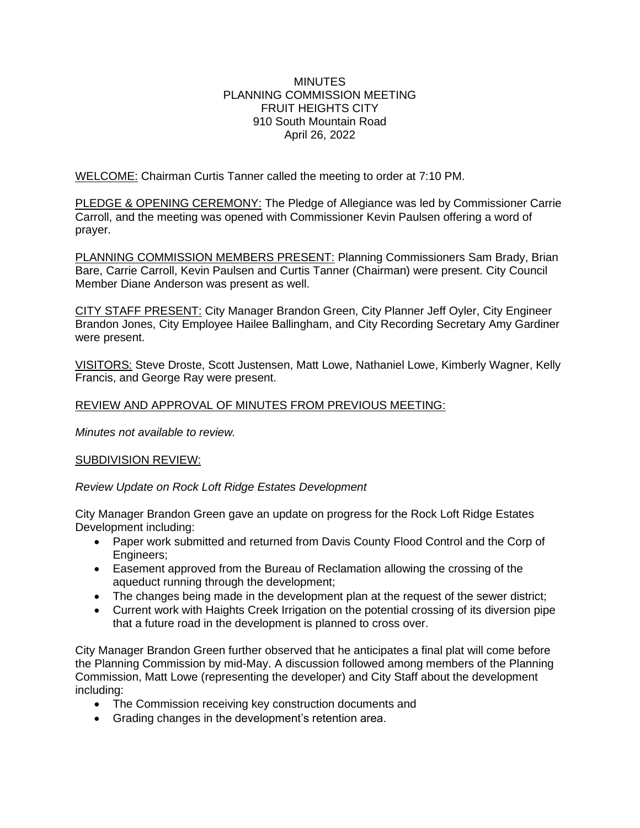#### **MINUTES** PLANNING COMMISSION MEETING FRUIT HEIGHTS CITY 910 South Mountain Road April 26, 2022

WELCOME: Chairman Curtis Tanner called the meeting to order at 7:10 PM.

PLEDGE & OPENING CEREMONY: The Pledge of Allegiance was led by Commissioner Carrie Carroll, and the meeting was opened with Commissioner Kevin Paulsen offering a word of prayer.

PLANNING COMMISSION MEMBERS PRESENT: Planning Commissioners Sam Brady, Brian Bare, Carrie Carroll, Kevin Paulsen and Curtis Tanner (Chairman) were present. City Council Member Diane Anderson was present as well.

CITY STAFF PRESENT: City Manager Brandon Green, City Planner Jeff Oyler, City Engineer Brandon Jones, City Employee Hailee Ballingham, and City Recording Secretary Amy Gardiner were present.

VISITORS: Steve Droste, Scott Justensen, Matt Lowe, Nathaniel Lowe, Kimberly Wagner, Kelly Francis, and George Ray were present.

# REVIEW AND APPROVAL OF MINUTES FROM PREVIOUS MEETING:

*Minutes not available to review.*

## SUBDIVISION REVIEW:

*Review Update on Rock Loft Ridge Estates Development*

City Manager Brandon Green gave an update on progress for the Rock Loft Ridge Estates Development including:

- Paper work submitted and returned from Davis County Flood Control and the Corp of Engineers;
- Easement approved from the Bureau of Reclamation allowing the crossing of the aqueduct running through the development;
- The changes being made in the development plan at the request of the sewer district;
- Current work with Haights Creek Irrigation on the potential crossing of its diversion pipe that a future road in the development is planned to cross over.

City Manager Brandon Green further observed that he anticipates a final plat will come before the Planning Commission by mid-May. A discussion followed among members of the Planning Commission, Matt Lowe (representing the developer) and City Staff about the development including:

- The Commission receiving key construction documents and
- Grading changes in the development's retention area.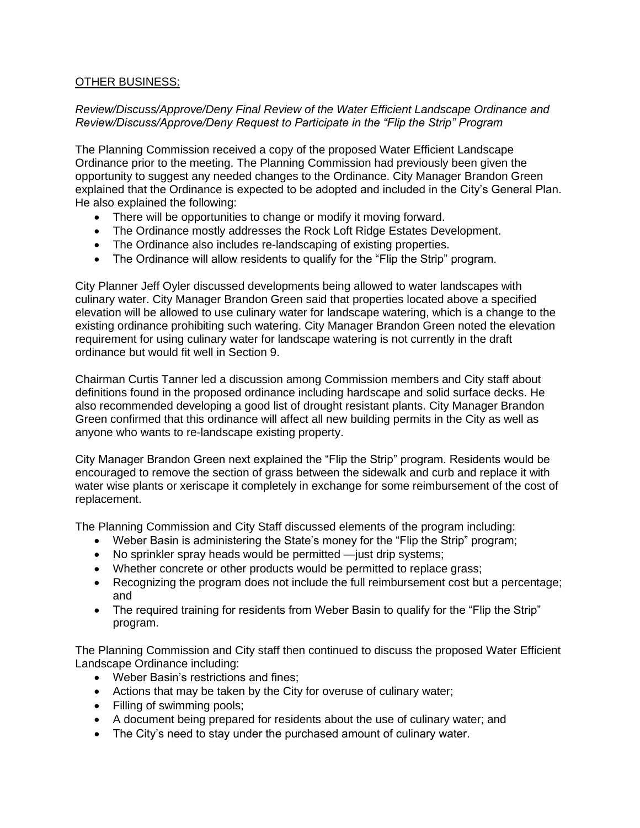# OTHER BUSINESS:

#### *Review/Discuss/Approve/Deny Final Review of the Water Efficient Landscape Ordinance and Review/Discuss/Approve/Deny Request to Participate in the "Flip the Strip" Program*

The Planning Commission received a copy of the proposed Water Efficient Landscape Ordinance prior to the meeting. The Planning Commission had previously been given the opportunity to suggest any needed changes to the Ordinance. City Manager Brandon Green explained that the Ordinance is expected to be adopted and included in the City's General Plan. He also explained the following:

- There will be opportunities to change or modify it moving forward.
- The Ordinance mostly addresses the Rock Loft Ridge Estates Development.
- The Ordinance also includes re-landscaping of existing properties.
- The Ordinance will allow residents to qualify for the "Flip the Strip" program.

City Planner Jeff Oyler discussed developments being allowed to water landscapes with culinary water. City Manager Brandon Green said that properties located above a specified elevation will be allowed to use culinary water for landscape watering, which is a change to the existing ordinance prohibiting such watering. City Manager Brandon Green noted the elevation requirement for using culinary water for landscape watering is not currently in the draft ordinance but would fit well in Section 9.

Chairman Curtis Tanner led a discussion among Commission members and City staff about definitions found in the proposed ordinance including hardscape and solid surface decks. He also recommended developing a good list of drought resistant plants. City Manager Brandon Green confirmed that this ordinance will affect all new building permits in the City as well as anyone who wants to re-landscape existing property.

City Manager Brandon Green next explained the "Flip the Strip" program. Residents would be encouraged to remove the section of grass between the sidewalk and curb and replace it with water wise plants or xeriscape it completely in exchange for some reimbursement of the cost of replacement.

The Planning Commission and City Staff discussed elements of the program including:

- Weber Basin is administering the State's money for the "Flip the Strip" program;
- No sprinkler spray heads would be permitted —just drip systems;
- Whether concrete or other products would be permitted to replace grass;
- Recognizing the program does not include the full reimbursement cost but a percentage: and
- The required training for residents from Weber Basin to qualify for the "Flip the Strip" program.

The Planning Commission and City staff then continued to discuss the proposed Water Efficient Landscape Ordinance including:

- Weber Basin's restrictions and fines;
- Actions that may be taken by the City for overuse of culinary water;
- Filling of swimming pools;
- A document being prepared for residents about the use of culinary water; and
- The City's need to stay under the purchased amount of culinary water.